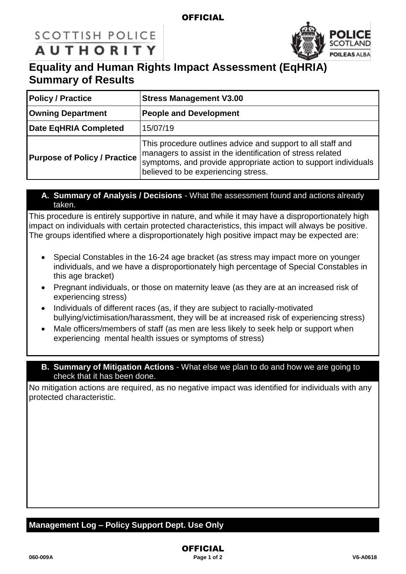#### **OFFICIAL**

# **SCOTTISH POLICE AUTHORITY**



## **Equality and Human Rights Impact Assessment (EqHRIA) Summary of Results**

| <b>Policy / Practice</b>            | <b>Stress Management V3.00</b>                                                                                                                                                                                                      |  |
|-------------------------------------|-------------------------------------------------------------------------------------------------------------------------------------------------------------------------------------------------------------------------------------|--|
| <b>Owning Department</b>            | <b>People and Development</b>                                                                                                                                                                                                       |  |
| Date EqHRIA Completed               | 15/07/19                                                                                                                                                                                                                            |  |
| <b>Purpose of Policy / Practice</b> | This procedure outlines advice and support to all staff and<br>managers to assist in the identification of stress related<br>symptoms, and provide appropriate action to support individuals<br>believed to be experiencing stress. |  |

**A. Summary of Analysis / Decisions** - What the assessment found and actions already taken.

This procedure is entirely supportive in nature, and while it may have a disproportionately high impact on individuals with certain protected characteristics, this impact will always be positive. The groups identified where a disproportionately high positive impact may be expected are:

- Special Constables in the 16-24 age bracket (as stress may impact more on younger individuals, and we have a disproportionately high percentage of Special Constables in this age bracket)
- Pregnant individuals, or those on maternity leave (as they are at an increased risk of experiencing stress)
- Individuals of different races (as, if they are subject to racially-motivated bullying/victimisation/harassment, they will be at increased risk of experiencing stress)
- Male officers/members of staff (as men are less likely to seek help or support when experiencing mental health issues or symptoms of stress)
- **B. Summary of Mitigation Actions** What else we plan to do and how we are going to check that it has been done.

No mitigation actions are required, as no negative impact was identified for individuals with any protected characteristic.

### **Management Log – Policy Support Dept. Use Only**